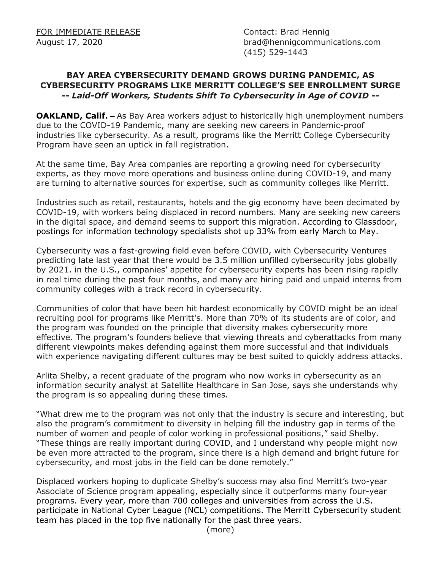August 17, 2020 brad@hennigcommunications.com (415) 529-1443

## **BAY AREA CYBERSECURITY DEMAND GROWS DURING PANDEMIC, AS CYBERSECURITY PROGRAMS LIKE MERRITT COLLEGE'S SEE ENROLLMENT SURGE**  *-- Laid-Off Workers, Students Shift To Cybersecurity in Age of COVID --*

**OAKLAND, Calif.** – As Bay Area workers adjust to historically high unemployment numbers due to the COVID-19 Pandemic, many are seeking new careers in Pandemic-proof industries like cybersecurity. As a result, programs like the Merritt College Cybersecurity Program have seen an uptick in fall registration.

At the same time, Bay Area companies are reporting a growing need for cybersecurity experts, as they move more operations and business online during COVID-19, and many are turning to alternative sources for expertise, such as community colleges like Merritt.

Industries such as retail, restaurants, hotels and the gig economy have been decimated by COVID-19, with workers being displaced in record numbers. Many are seeking new careers in the digital space, and demand seems to support this migration. According to Glassdoor, postings for information technology specialists shot up 33% from early March to May.

Cybersecurity was a fast-growing field even before COVID, with Cybersecurity Ventures predicting late last year that there would be 3.5 million unfilled cybersecurity jobs globally by 2021. in the U.S., companies' appetite for cybersecurity experts has been rising rapidly in real time during the past four months, and many are hiring paid and unpaid interns from community colleges with a track record in cybersecurity.

Communities of color that have been hit hardest economically by COVID might be an ideal recruiting pool for programs like Merritt's. More than 70% of its students are of color, and the program was founded on the principle that diversity makes cybersecurity more effective. The program's founders believe that viewing threats and cyberattacks from many different viewpoints makes defending against them more successful and that individuals with experience navigating different cultures may be best suited to quickly address attacks.

Arlita Shelby, a recent graduate of the program who now works in cybersecurity as an information security analyst at Satellite Healthcare in San Jose, says she understands why the program is so appealing during these times.

"What drew me to the program was not only that the industry is secure and interesting, but also the program's commitment to diversity in helping fill the industry gap in terms of the number of women and people of color working in professional positions," said Shelby. "These things are really important during COVID, and I understand why people might now be even more attracted to the program, since there is a high demand and bright future for cybersecurity, and most jobs in the field can be done remotely."

Displaced workers hoping to duplicate Shelby's success may also find Merritt's two-year Associate of Science program appealing, especially since it outperforms many four-year programs. Every year, more than 700 colleges and universities from across the U.S. participate in National Cyber League (NCL) competitions. The Merritt Cybersecurity student team has placed in the top five nationally for the past three years.